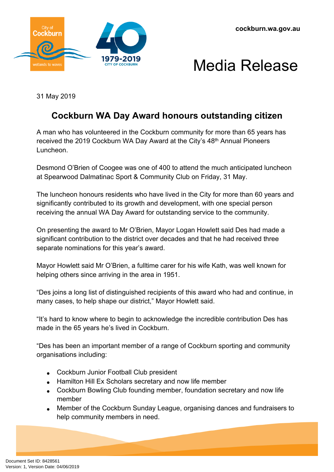



31 May 2019

## **Cockburn WA Day Award honours outstanding citizen**

A man who has volunteered in the Cockburn community for more than 65 years has received the 2019 Cockburn WA Day Award at the City's 48<sup>th</sup> Annual Pioneers Luncheon.

Desmond O'Brien of Coogee was one of 400 to attend the much anticipated luncheon at Spearwood Dalmatinac Sport & Community Club on Friday, 31 May.

The luncheon honours residents who have lived in the City for more than 60 years and significantly contributed to its growth and development, with one special person receiving the annual WA Day Award for outstanding service to the community.

On presenting the award to Mr O'Brien, Mayor Logan Howlett said Des had made a significant contribution to the district over decades and that he had received three separate nominations for this year's award.

Mayor Howlett said Mr O'Brien, a fulltime carer for his wife Kath, was well known for helping others since arriving in the area in 1951.

"Des joins a long list of distinguished recipients of this award who had and continue, in many cases, to help shape our district," Mayor Howlett said.

"It's hard to know where to begin to acknowledge the incredible contribution Des has made in the 65 years he's lived in Cockburn.

"Des has been an important member of a range of Cockburn sporting and community organisations including:

- Cockburn Junior Football Club president
- Hamilton Hill Ex Scholars secretary and now life member
- Cockburn Bowling Club founding member, foundation secretary and now life member
- Member of the Cockburn Sunday League, organising dances and fundraisers to help community members in need.